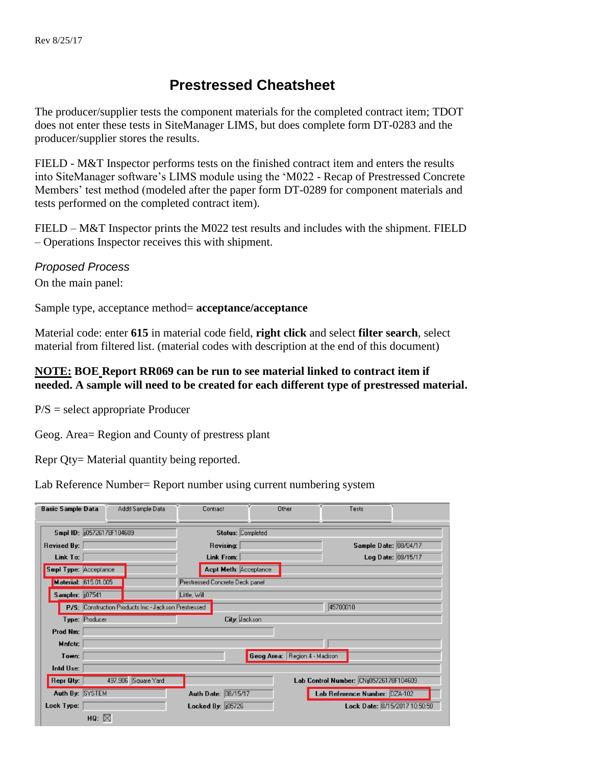## **Prestressed Cheatsheet**

The producer/supplier tests the component materials for the completed contract item; TDOT does not enter these tests in SiteManager LIMS, but does complete form DT-0283 and the producer/supplier stores the results.

FIELD - M&T Inspector performs tests on the finished contract item and enters the results into SiteManager software's LIMS module using the 'M022 - Recap of Prestressed Concrete Members' test method (modeled after the paper form DT-0289 for component materials and tests performed on the completed contract item).

FIELD – M&T Inspector prints the M022 test results and includes with the shipment. FIELD – Operations Inspector receives this with shipment.

## *Proposed Process*

On the main panel:

Sample type, acceptance method= **acceptance/acceptance**

Material code: enter **615** in material code field, **right click** and select **filter search**, select material from filtered list. (material codes with description at the end of this document)

## **NOTE: BOE Report RR069 can be run to see material linked to contract item if needed. A sample will need to be created for each different type of prestressed material.**

P/S = select appropriate Producer

Geog. Area= Region and County of prestress plant

Repr Qty= Material quantity being reported.

Lab Reference Number= Report number using current numbering system

| <b>Basic Sample Data</b>    | Addtl Sample Data                                    | Contract                       |                                 | Other                         | Tests                                   |  |
|-----------------------------|------------------------------------------------------|--------------------------------|---------------------------------|-------------------------------|-----------------------------------------|--|
| Smpl ID: (i05726178F104609) |                                                      | Status: Completed              |                                 |                               |                                         |  |
| <b>Revised By:</b>          |                                                      | Revising:                      |                                 |                               | Sample Date: 08/04/17                   |  |
| Link To:                    |                                                      | Link From:                     |                                 |                               | Log Date: 08/15/17                      |  |
| Smpl Type: Acceptance       |                                                      |                                | Acpt Meth: Acceptance           |                               |                                         |  |
| Material: 615.01.005        |                                                      |                                | Prestressed Concrete Deck panel |                               |                                         |  |
| Sampler: 107541             |                                                      | Little, Will                   |                                 |                               |                                         |  |
|                             | P/S: Construction Products Inc - Jackson Prestressed | 45700010                       |                                 |                               |                                         |  |
| Type: Producer              |                                                      |                                | City: Jackson                   |                               |                                         |  |
| Prod Nm:                    |                                                      |                                |                                 |                               |                                         |  |
| Mnfctr:                     |                                                      |                                |                                 |                               |                                         |  |
| Town:                       |                                                      |                                |                                 | Geog Area: Region 4 - Madison |                                         |  |
| Intd Use:                   |                                                      |                                |                                 |                               |                                         |  |
| <b>Repr Qty:</b>            | 497.906 Square Yard                                  |                                |                                 |                               | Lab Control Number: CNij05726178F104609 |  |
| Auth By: SYSTEM             |                                                      |                                | Auth Date: 08/15/17             |                               | Lab Reference Number: DZA-102           |  |
| Lock Type:                  |                                                      | Locked By: $\frac{1}{10}05726$ |                                 |                               | Lock Date: 8/15/2017 10:50:50           |  |
| HQ: $\boxtimes$             |                                                      |                                |                                 |                               |                                         |  |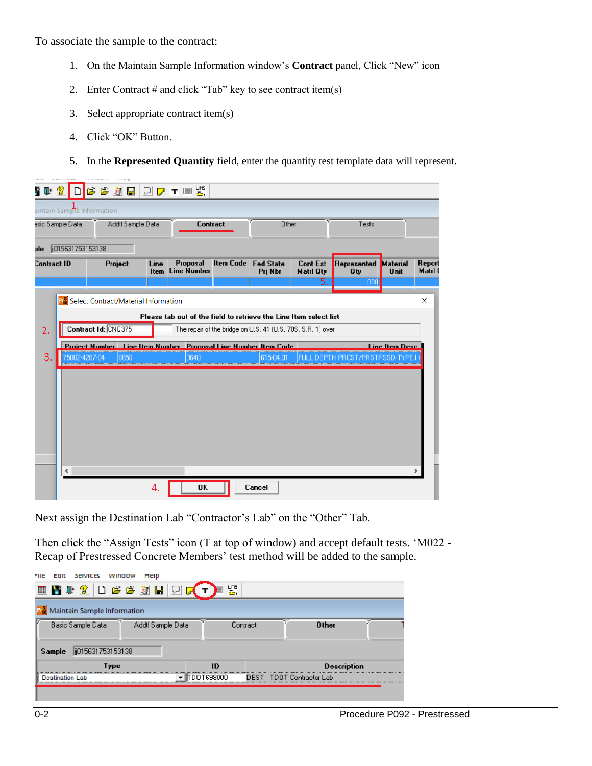To associate the sample to the contract:

- 1. On the Maintain Sample Information window's **Contract** panel, Click "New" icon
- 2. Enter Contract  $#$  and click "Tab" key to see contract item(s)
- 3. Select appropriate contract item(s)
- 4. Click "OK" Button.
- 5. In the **Represented Quantity** field, enter the quantity test template data will represent.

| n n+ | $\mathcal{P}$              | <b>BBTQDFES</b>                                                       |              |                                                                   |                                                             |                                     |                                       |                         |                   |
|------|----------------------------|-----------------------------------------------------------------------|--------------|-------------------------------------------------------------------|-------------------------------------------------------------|-------------------------------------|---------------------------------------|-------------------------|-------------------|
|      | aintain Sample Information |                                                                       |              |                                                                   |                                                             |                                     |                                       |                         |                   |
|      | asic Sample Data           | Addtl Sample Data                                                     |              | <b>Contract</b>                                                   | Other                                                       |                                     | Tests                                 |                         |                   |
| ole  | ji015631753153138          |                                                                       |              |                                                                   |                                                             |                                     |                                       |                         |                   |
|      | Contract ID                | Project                                                               | Line<br>Item | Proposal<br><b>Line Number</b>                                    | <b>Item Code Fed State</b><br>Pri Nbr                       | <b>Cont Est</b><br><b>Matri Qty</b> | Represented<br>Qty                    | <b>Material</b><br>Unit | Report<br>Matrl 0 |
|      |                            |                                                                       |              |                                                                   |                                                             | 5.                                  | ,00                                   |                         |                   |
|      |                            | <b>Pra</b> Select Contract/Material Information                       |              |                                                                   |                                                             |                                     |                                       |                         | X                 |
|      |                            |                                                                       |              | Please tab out of the field to retrieve the Line Item select list |                                                             |                                     |                                       |                         |                   |
| 2.   |                            | Contract Id: CNQ375                                                   |              |                                                                   | The repair of the bridge on U.S. 41 (U.S. 70S, S.R. 1) over |                                     |                                       |                         |                   |
|      |                            | <b>Project Number Line Item Number Proposal Line Number Item Code</b> |              |                                                                   |                                                             |                                     |                                       | <b>Line Item Desc.</b>  |                   |
| 3.   | 75002-4287-04              | 0650                                                                  |              | 0640                                                              | 615-04.01                                                   |                                     | <b>FULL DEPTH PRCST/PRSTRSSD TYPE</b> |                         |                   |
|      |                            |                                                                       |              |                                                                   |                                                             |                                     |                                       |                         |                   |
|      |                            |                                                                       |              |                                                                   |                                                             |                                     |                                       |                         |                   |
|      |                            |                                                                       |              |                                                                   |                                                             |                                     |                                       |                         |                   |
|      |                            |                                                                       |              |                                                                   |                                                             |                                     |                                       |                         |                   |
|      |                            |                                                                       |              |                                                                   |                                                             |                                     |                                       |                         |                   |
|      |                            |                                                                       |              |                                                                   |                                                             |                                     |                                       |                         |                   |
|      |                            |                                                                       |              |                                                                   |                                                             |                                     |                                       |                         |                   |
|      | ∢                          |                                                                       |              |                                                                   |                                                             |                                     |                                       |                         |                   |
|      |                            |                                                                       | 4.           | OK                                                                | Cancel                                                      |                                     |                                       |                         |                   |

Next assign the Destination Lab "Contractor's Lab" on the "Other" Tab.

Then click the "Assign Tests" icon (T at top of window) and accept default tests. 'M022 - Recap of Prestressed Concrete Members' test method will be added to the sample.

| SEIVICES<br>rne<br>cait                | wundow<br>meip |             |                            |  |  |  |  |
|----------------------------------------|----------------|-------------|----------------------------|--|--|--|--|
| ■■■↓ 金 □ ■● ③ ■ □ ■ ▼ →■               |                | 圈.          |                            |  |  |  |  |
| Maintain Sample Information            |                |             |                            |  |  |  |  |
| Addtl Sample Data<br>Basic Sample Data |                | Contract    | <b>Other</b>               |  |  |  |  |
|                                        |                |             |                            |  |  |  |  |
| ii015631753153138<br>Sample            |                |             |                            |  |  |  |  |
| Type                                   |                | ID          | <b>Description</b>         |  |  |  |  |
| Destination Lab                        |                | monasano di | DEST - TDOT Contractor Lab |  |  |  |  |
|                                        |                |             |                            |  |  |  |  |
|                                        |                |             |                            |  |  |  |  |